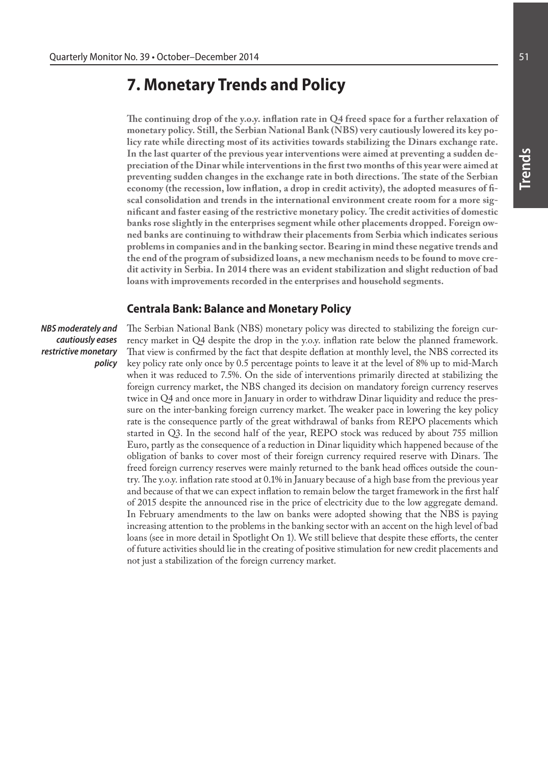# **7. Monetary Trends and Policy**

**The continuing drop of the y.o.y. inflation rate in Q4 freed space for a further relaxation of monetary policy. Still, the Serbian National Bank (NBS) very cautiously lowered its key policy rate while directing most of its activities towards stabilizing the Dinars exchange rate. In the last quarter of the previous year interventions were aimed at preventing a sudden depreciation of the Dinar while interventions in the first two months of this year were aimed at preventing sudden changes in the exchange rate in both directions. The state of the Serbian economy (the recession, low inflation, a drop in credit activity), the adopted measures of fiscal consolidation and trends in the international environment create room for a more significant and faster easing of the restrictive monetary policy. The credit activities of domestic banks rose slightly in the enterprises segment while other placements dropped. Foreign owned banks are continuing to withdraw their placements from Serbia which indicates serious problems in companies and in the banking sector. Bearing in mind these negative trends and the end of the program of subsidized loans, a new mechanism needs to be found to move credit activity in Serbia. In 2014 there was an evident stabilization and slight reduction of bad loans with improvements recorded in the enterprises and household segments.**

## **Centrala Bank: Balance and Monetary Policy**

*NBS moderately and cautiously eases restrictive monetary policy* The Serbian National Bank (NBS) monetary policy was directed to stabilizing the foreign currency market in Q4 despite the drop in the y.o.y. inflation rate below the planned framework. That view is confirmed by the fact that despite deflation at monthly level, the NBS corrected its key policy rate only once by 0.5 percentage points to leave it at the level of 8% up to mid-March when it was reduced to 7.5%. On the side of interventions primarily directed at stabilizing the foreign currency market, the NBS changed its decision on mandatory foreign currency reserves twice in Q4 and once more in January in order to withdraw Dinar liquidity and reduce the pressure on the inter-banking foreign currency market. The weaker pace in lowering the key policy rate is the consequence partly of the great withdrawal of banks from REPO placements which started in Q3. In the second half of the year, REPO stock was reduced by about 755 million Euro, partly as the consequence of a reduction in Dinar liquidity which happened because of the obligation of banks to cover most of their foreign currency required reserve with Dinars. The freed foreign currency reserves were mainly returned to the bank head offices outside the country. The y.o.y. inflation rate stood at 0.1% in January because of a high base from the previous year and because of that we can expect inflation to remain below the target framework in the first half of 2015 despite the announced rise in the price of electricity due to the low aggregate demand. In February amendments to the law on banks were adopted showing that the NBS is paying increasing attention to the problems in the banking sector with an accent on the high level of bad loans (see in more detail in Spotlight On 1). We still believe that despite these efforts, the center of future activities should lie in the creating of positive stimulation for new credit placements and not just a stabilization of the foreign currency market.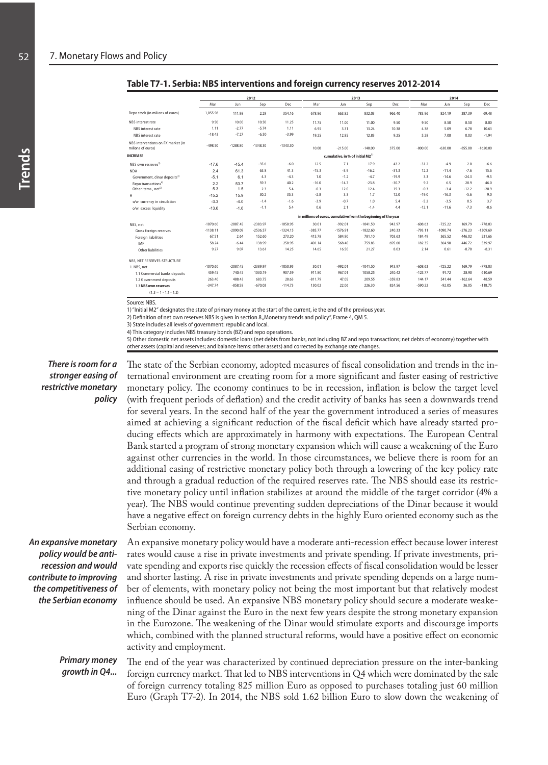|                                                         |            |            | 2012       |            |           |                                              | 2013                                                            | 2014      |           |            |           |            |
|---------------------------------------------------------|------------|------------|------------|------------|-----------|----------------------------------------------|-----------------------------------------------------------------|-----------|-----------|------------|-----------|------------|
|                                                         | Mar        | Jun        | Sep        | Dec        | Mar       | Jun                                          | Sep                                                             | Dec       | Mar       | Jun        | Sep       | Dec        |
| Repo stock (in milions of euros)                        | 1.055.98   | 111.98     | 2.29       | 354.16     | 678.86    | 663.82                                       | 832.03                                                          | 966.40    | 783.96    | 824.19     | 387.39    | 69.48      |
| NBS interest rate                                       | 9.50       | 10.00      | 10.50      | 11.25      | 11.75     | 11.00                                        | 11.00                                                           | 9.50      | 9.50      | 8.50       | 8.50      | 8.00       |
| NBS interest rate                                       | 1.11       | $-2.77$    | $-5.74$    | 1.11       | 6.95      | 3.31                                         | 13.24                                                           | 10.38     | 4.38      | 5.09       | 6.78      | 10.63      |
| NBS interest rate                                       | $-18.43$   | $-7.27$    | $-6.50$    | $-3.99$    | 19.25     | 12.85                                        | 12.83                                                           | 9.25      | 5.28      | 7.08       | 0.03      | $-1.94$    |
| NBS interventions on FX market (in<br>milions of euros) | $-498.50$  | $-1288.80$ | $-1348.30$ | $-1343.30$ | 10.00     | $-215.00$                                    | $-140.00$                                                       | 375.00    | $-800.00$ | $-630.00$  | $-855.00$ | $-1620.00$ |
| <b>INCREASE</b>                                         |            |            |            |            |           | cumulative, in % of initial M2 <sup>1)</sup> |                                                                 |           |           |            |           |            |
| NBS own resreves <sup>2)</sup>                          | $-17.6$    | $-45.4$    | $-35.6$    | $-6.0$     | 12.5      | 7.1                                          | 17.9                                                            | 43.2      | $-31.2$   | $-4.9$     | 2.0       | $-6.6$     |
| <b>NDA</b>                                              | 2.4        | 61.3       | 65.8       | 41.3       | $-15.3$   | $-3.9$                                       | $-16.2$                                                         | $-31.3$   | 12.2      | $-11.4$    | $-7.6$    | 15.6       |
| Government, dinar deposits <sup>3)</sup>                | $-5.1$     | 6.1        | 4.3        | $-4.3$     | 1.0       | $-1.2$                                       | $-4.7$                                                          | $-19.9$   | 3.3       | $-14.6$    | $-24.3$   | $-9.5$     |
| Repo transactions <sup>4)</sup>                         | 2.2        | 53.7       | 59.3       | 40.2       | $-16.0$   | $-14.7$                                      | $-23.8$                                                         | $-30.7$   | 9.2       | 6.5        | 28.9      | 46.0       |
| Other items, net <sup>5)</sup>                          | 5.3        | 1.5        | 2.3        | 5.4        | $-0.3$    | 12.0                                         | 12.4                                                            | 19.3      | $-0.3$    | $-3.4$     | $-12.2$   | $-20.9$    |
| H                                                       | $-15.2$    | 15.9       | 30.2       | 35.3       | $-2.8$    | 3.3                                          | 1.7                                                             | 12.0      | $-19.0$   | $-16.3$    | $-5.6$    | 9.0        |
| o/w: currency in circulation                            | $-3.3$     | $-4.0$     | $-1.4$     | $-1.6$     | $-3.9$    | $-0.7$                                       | 1.0                                                             | 5.4       | $-5.2$    | $-3.5$     | 0.5       | 3.7        |
| o/w: excess liquidity                                   | $-13.6$    | $-1.6$     | $-1.1$     | 5.4        | 0.6       | 2.1                                          | $-1.4$                                                          | 4.4       | $-12.1$   | $-11.6$    | $-7.3$    | $-0.6$     |
|                                                         |            |            |            |            |           |                                              | in millions of euros, cumulative from the beginning of the year |           |           |            |           |            |
| NBS, net                                                | $-1070.60$ | $-2087.45$ | $-2383.97$ | $-1050.95$ | 30.01     | $-992.01$                                    | $-1041.50$                                                      | 943.97    | $-608.63$ | $-725.22$  | 169.79    | $-778.03$  |
| Gross foreign reserves                                  | $-1138.11$ | $-2090.09$ | $-2536.57$ | $-1324.15$ | $-385.77$ | $-1576.91$                                   | $-1822.60$                                                      | 240.33    | $-793.11$ | $-1090.74$ | $-276.23$ | $-1309.69$ |
| Foreign liabilities                                     | 67.51      | 2.64       | 152.60     | 273.20     | 415.78    | 584.90                                       | 781.10                                                          | 703.63    | 184.49    | 365.52     | 446.02    | 531.66     |
| IMF                                                     | 58.24      | $-6.44$    | 138.99     | 258.95     | 401.14    | 568.40                                       | 759.83                                                          | 695.60    | 182.35    | 364.90     | 446.72    | 539.97     |
| Other liabilities                                       | 9.27       | 9.07       | 13.61      | 14.25      | 14.65     | 16.50                                        | 21.27                                                           | 8.03      | 2.14      | 0.61       | $-0.70$   | $-8.31$    |
| NBS, NET RESERVES-STRUCTURE                             |            |            |            |            |           |                                              |                                                                 |           |           |            |           |            |
| 1. NBS, net                                             | $-1070.60$ | $-2087.45$ | $-2389.97$ | $-1050.95$ | 30.01     | $-992.01$                                    | $-1041.50$                                                      | 943.97    | $-608.63$ | $-725.22$  | 169.79    | $-778.03$  |
| 1.1 Commercial banks deposits                           | 459.45     | 740.45     | 1030.19    | 907.59     | 911.80    | 967.01                                       | 1058.25                                                         | 240.42    | $-125.77$ | 91.72      | 28.90     | 610.69     |
| 1.2 Government deposits                                 | 263.40     | 488.43     | 683.75     | 28.63      | $-811.79$ | 47.05                                        | 209.55                                                          | $-359.83$ | 144.17    | 541.44     | $-162.64$ | 48.59      |
| 1.3 NBS own reserves                                    | $-347.74$  | $-858.58$  | $-670.03$  | $-114.73$  | 130.02    | 22.06                                        | 226.30                                                          | 824.56    | $-590.22$ | $-92.05$   | 36.05     | $-118.75$  |
| $(1.3 = 1 - 1.1 - 1.2)$                                 |            |            |            |            |           |                                              |                                                                 |           |           |            |           |            |

**Table T7-1. Serbia: NBS interventions and foreign currency reserves 2012-2014**

Source: NBS.

1) "Initial M2" designates the state of primary money at the start of the current, ie the end of the previous year.

2) Definition of net own reserves NBS is given in section 8 "Monetary trends and policy", Frame 4, QM 5.

3) State includes all levels of government: republic and local.

4) This category includes NBS treasury bonds (BZ) and repo operations.

5) Other domestic net assets includes: domestic loans (net debts from banks, not including BZ and repo transactions; net debts of economy) together with other assets (capital and reserves; and balance items: other assets) and corrected by exchange rate changes.

*There is room for a stronger easing of restrictive monetary policy*

The state of the Serbian economy, adopted measures of fiscal consolidation and trends in the international environment are creating room for a more significant and faster easing of restrictive monetary policy. The economy continues to be in recession, inflation is below the target level (with frequent periods of deflation) and the credit activity of banks has seen a downwards trend for several years. In the second half of the year the government introduced a series of measures aimed at achieving a significant reduction of the fiscal deficit which have already started producing effects which are approximately in harmony with expectations. The European Central Bank started a program of strong monetary expansion which will cause a weakening of the Euro against other currencies in the world. In those circumstances, we believe there is room for an additional easing of restrictive monetary policy both through a lowering of the key policy rate and through a gradual reduction of the required reserves rate. The NBS should ease its restrictive monetary policy until inflation stabilizes at around the middle of the target corridor (4% a year). The NBS would continue preventing sudden depreciations of the Dinar because it would have a negative effect on foreign currency debts in the highly Euro oriented economy such as the Serbian economy.

*An expansive monetary policy would be antirecession and would contribute to improving the competitiveness of the Serbian economy* 

An expansive monetary policy would have a moderate anti-recession effect because lower interest rates would cause a rise in private investments and private spending. If private investments, private spending and exports rise quickly the recession effects of fiscal consolidation would be lesser and shorter lasting. A rise in private investments and private spending depends on a large number of elements, with monetary policy not being the most important but that relatively modest influence should be used. An expansive NBS monetary policy should secure a moderate weakening of the Dinar against the Euro in the next few years despite the strong monetary expansion in the Eurozone. The weakening of the Dinar would stimulate exports and discourage imports which, combined with the planned structural reforms, would have a positive effect on economic activity and employment.

The end of the year was characterized by continued depreciation pressure on the inter-banking foreign currency market. That led to NBS interventions in Q4 which were dominated by the sale of foreign currency totaling 825 million Euro as opposed to purchases totaling just 60 million Euro (Graph T7-2). In 2014, the NBS sold 1.62 billion Euro to slow down the weakening of *Primary money growth in Q4...*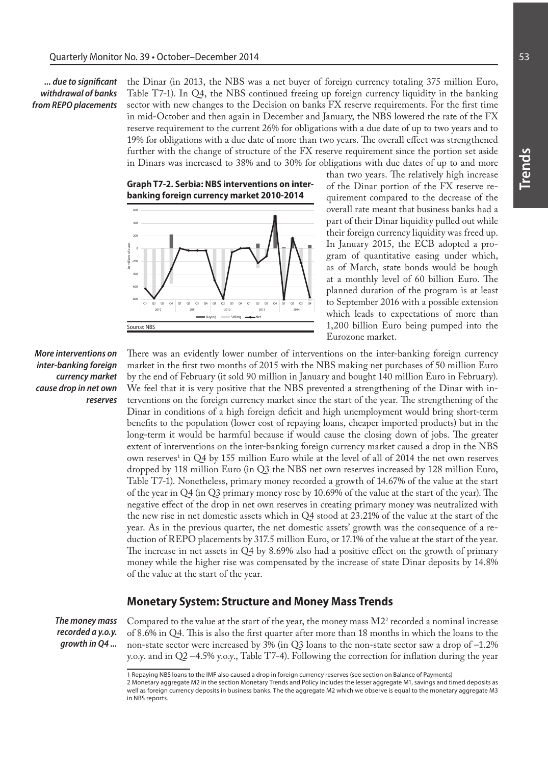*... due to significant withdrawal of banks from REPO placements*

the Dinar (in 2013, the NBS was a net buyer of foreign currency totaling 375 million Euro, Table T7-1). In Q4, the NBS continued freeing up foreign currency liquidity in the banking sector with new changes to the Decision on banks FX reserve requirements. For the first time in mid-October and then again in December and January, the NBS lowered the rate of the FX reserve requirement to the current 26% for obligations with a due date of up to two years and to 19% for obligations with a due date of more than two years. The overall effect was strengthened further with the change of structure of the FX reserve requirement since the portion set aside in Dinars was increased to 38% and to 30% for obligations with due dates of up to and more

**Graph T7-2. Serbia: NBS interventions on interbanking foreign currency market 2010-2014**



than two years. The relatively high increase of the Dinar portion of the FX reserve requirement compared to the decrease of the overall rate meant that business banks had a part of their Dinar liquidity pulled out while their foreign currency liquidity was freed up. In January 2015, the ECB adopted a program of quantitative easing under which, as of March, state bonds would be bough at a monthly level of 60 billion Euro. The planned duration of the program is at least to September 2016 with a possible extension which leads to expectations of more than 1,200 billion Euro being pumped into the Eurozone market.

*More interventions on inter-banking foreign currency market cause drop in net own reserves*

There was an evidently lower number of interventions on the inter-banking foreign currency market in the first two months of 2015 with the NBS making net purchases of 50 million Euro by the end of February (it sold 90 million in January and bought 140 million Euro in February). We feel that it is very positive that the NBS prevented a strengthening of the Dinar with interventions on the foreign currency market since the start of the year. The strengthening of the Dinar in conditions of a high foreign deficit and high unemployment would bring short-term benefits to the population (lower cost of repaying loans, cheaper imported products) but in the long-term it would be harmful because if would cause the closing down of jobs. The greater extent of interventions on the inter-banking foreign currency market caused a drop in the NBS own reserves<sup>1</sup> in Q4 by 155 million Euro while at the level of all of 2014 the net own reserves dropped by 118 million Euro (in Q3 the NBS net own reserves increased by 128 million Euro, Table T7-1). Nonetheless, primary money recorded a growth of 14.67% of the value at the start of the year in Q4 (in Q3 primary money rose by 10.69% of the value at the start of the year). The negative effect of the drop in net own reserves in creating primary money was neutralized with the new rise in net domestic assets which in Q4 stood at 23.21% of the value at the start of the year. As in the previous quarter, the net domestic assets' growth was the consequence of a reduction of REPO placements by 317.5 million Euro, or 17.1% of the value at the start of the year. The increase in net assets in Q4 by 8.69% also had a positive effect on the growth of primary money while the higher rise was compensated by the increase of state Dinar deposits by 14.8% of the value at the start of the year.

## **Monetary System: Structure and Money Mass Trends**

*The money mass recorded a y.o.y. growth in Q4 ...*

Compared to the value at the start of the year, the money mass  $M2^2$  recorded a nominal increase of 8.6% in Q4. This is also the first quarter after more than 18 months in which the loans to the non-state sector were increased by 3% (in Q3 loans to the non-state sector saw a drop of –1.2% y.o.y. and in Q2 –4.5% y.o.y., Table T7-4). Following the correction for inflation during the year

<sup>1</sup> Repaying NBS loans to the IMF also caused a drop in foreign currency reserves (see section on Balance of Payments)

<sup>2</sup> Monetary aggregate M2 in the section Monetary Trends and Policy includes the lesser aggregate M1, savings and timed deposits as well as foreign currency deposits in business banks. The the aggregate M2 which we observe is equal to the monetary aggregate M3 in NBS reports.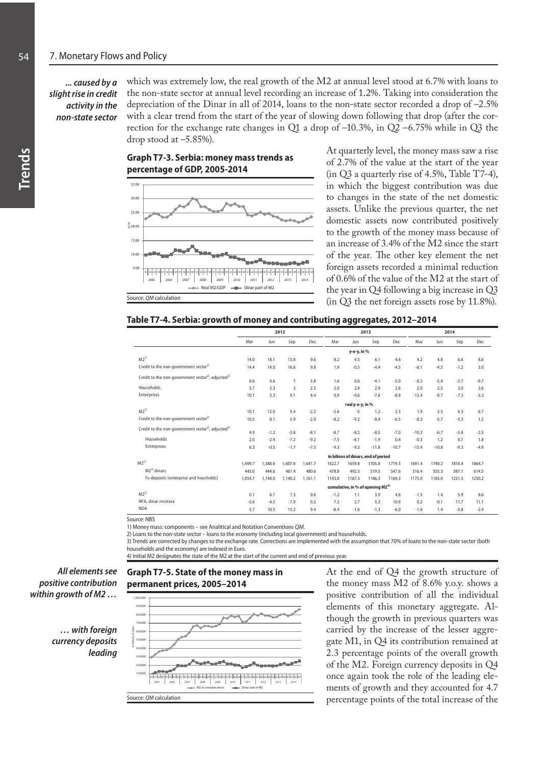# *... caused by a slight rise in credit activity in the non-state sector*

which was extremely low, the real growth of the M2 at annual level stood at 6.7% with loans to the non-state sector at annual level recording an increase of 1.2%. Taking into consideration the depreciation of the Dinar in all of 2014, loans to the non-state sector recorded a drop of –2.5% with a clear trend from the start of the year of slowing down following that drop (after the correction for the exchange rate changes in Q1 a drop of –10.3%, in Q2 –6.75% while in Q3 the drop stood at  $-5.85%$ ).

**Graph T7-3. Serbia: money mass trends as percentage of GDP, 2005-2014**



At quarterly level, the money mass saw a rise of 2.7% of the value at the start of the year (in Q3 a quarterly rise of 4.5%, Table T7-4), in which the biggest contribution was due to changes in the state of the net domestic assets. Unlike the previous quarter, the net domestic assets now contributed positively to the growth of the money mass because of an increase of 3.4% of the M2 since the start of the year. The other key element the net foreign assets recorded a minimal reduction of 0.6% of the value of the M2 at the start of the year in Q4 following a big increase in Q3 (in Q3 the net foreign assets rose by 11.8%).

#### **Table T7-4. Serbia: growth of money and contributing aggregates, 2012–2014**

|                                                                            |                                     |         |                |         |        |                                              |         |         | 2014    |         |        |        |  |
|----------------------------------------------------------------------------|-------------------------------------|---------|----------------|---------|--------|----------------------------------------------|---------|---------|---------|---------|--------|--------|--|
|                                                                            | 2012                                |         |                |         |        |                                              | 2013    |         |         |         |        |        |  |
|                                                                            | Mar                                 | Jun     | Sep            | Dec     | Mar    | Jun                                          | Sep     | Dec     | Mar     | Jun     | Sep    | Dec    |  |
|                                                                            |                                     |         |                |         |        | y-o-y, in %                                  |         |         |         |         |        |        |  |
| $M2^{1}$                                                                   | 14.0                                | 18.1    | 13.8           | 9.6     | 8.2    | 4.5                                          | 6.1     | 4.6     | 4.2     | 4.8     | 6.6    | 8.6    |  |
| Credit to the non-government sector <sup>2)</sup>                          | 14.4                                | 14.0    | 16.6           | 9.8     | 1.9    | $-0.5$                                       | $-4.4$  | $-4.5$  | $-6.1$  | $-4.5$  | $-1.2$ | 3.0    |  |
| Credit to the non-government sector <sup>2</sup> , adjusted <sup>3)</sup>  | 8.6                                 | 4.6     | $\overline{7}$ | 3.8     | 1.6    | 0.6                                          | $-4.1$  | $-5.0$  | $-8.2$  | $-5.4$  | $-3.7$ | $-0.7$ |  |
| Households                                                                 | 5.7                                 | 3.3     | 3              | 2.5     | 3.0    | 2.9                                          | 2.9     | 2.6     | 2.0     | 2.5     | 3.0    | 3.6    |  |
| Enterprises                                                                | 10.1                                | 5.3     | 9.1            | 4.4     | 0.9    | $-0.6$                                       | $-7.6$  | $-8.8$  | $-13.4$ | $-9.7$  | $-7.3$ | $-3.2$ |  |
|                                                                            | real y-o-y, in %                    |         |                |         |        |                                              |         |         |         |         |        |        |  |
| $M2^{1}$                                                                   | 10.1                                | 12.0    | 3.4            | $-2.2$  | $-2.6$ | $-5$                                         | 1.2     | 2.3     | 1.9     | 3.5     | 4.3    | 6.7    |  |
| Credit to the non-government sector <sup>2)</sup>                          | 10.5                                | 8.1     | 5.9            | $-2.0$  | $-8.2$ | $-9.2$                                       | $-8.9$  | $-6.5$  | $-8.3$  | $-5.7$  | $-3.3$ | 1.2    |  |
| Credit to the non-government sector <sup>2)</sup> , adjusted <sup>3)</sup> | 4.9                                 | $-1.2$  | $-3.6$         | $-8.1$  | $-8.7$ | $-8.2$                                       | $-8.5$  | $-7.0$  | $-10.3$ | $-6.7$  | $-5.8$ | $-2.5$ |  |
| Households                                                                 | 2.0                                 | $-2.4$  | $-7.2$         | $-9.2$  | $-7.5$ | $-6.1$                                       | $-1.9$  | 0.4     | $-0.3$  | 1.2     | 0.7    | 1.8    |  |
| Enterprises                                                                | 6.3                                 | $-0.5$  | $-1.7$         | $-7.5$  | $-9.3$ | $-9.3$                                       | $-11.8$ | $-10.7$ | $-15.4$ | $-10.8$ | $-9.3$ | $-4.9$ |  |
|                                                                            | in bilions of dinars, end of period |         |                |         |        |                                              |         |         |         |         |        |        |  |
| $M2^{1}$                                                                   | 1.499.7                             | 1,588.6 | 1.607.6        | 1.641.7 | 1622.7 | 1659.8                                       | 1705.8  | 1719.3  | 1691.4  | 1740.2  | 1818.4 | 1864.7 |  |
| $M2^{1)}$ dinars                                                           | 445.0                               | 444.6   | 467.4          | 480.6   | 478.8  | 492.5                                        | 519.5   | 547.6   | 516.4   | 555.3   | 587.1  | 614.5  |  |
| Fx deposits (enterprise and housholds)                                     | 1.054.7                             | 1.144.0 | 1.140.2        | 1.161.1 | 1143.8 | 1167.3                                       | 1186.3  | 1169.3  | 1175.0  | 1185.0  | 1231.3 | 1250.2 |  |
|                                                                            |                                     |         |                |         |        | cumulative, in % of opening M2 <sup>4)</sup> |         |         |         |         |        |        |  |
| $M2^{1}$                                                                   | 0.1                                 | 6.1     | 7.3            | 9.6     | $-1.2$ | 1.1                                          | 3.9     | 4.6     | $-1.5$  | 1.4     | 5.9    | 8.6    |  |
| NFA, dinar increase                                                        | $-5.6$                              | $-4.5$  | $-7.9$         | 0.2     | 7.2    | 2.7                                          | 5.2     | 10.6    | 0.2     | $-0.1$  | 11.7   | 11.1   |  |
| <b>NDA</b>                                                                 | 5.7                                 | 10.5    | 15.2           | 9.4     | $-8.4$ | $-1.6$                                       | $-1.3$  | $-6.0$  | $-1.6$  | 1.4     | $-5.8$ | $-2.4$ |  |

Source: NBS

1) Money mass: components – see Analitical and Notation Conventions *QM*.

2) Loans to the non-state sector – loans to the economy (including local government) and households.

3) Trends are corrected by changes to the exchange rate. Corrections are implemented with the assumption that 70% of loans to the non-state sector (both households and the economy) are indexed in Euro.

4) Initial M2 designates the state of the M2 at the start of the current and end of previous year.



*… with foreign currency deposits leading* 



At the end of Q4 the growth structure of the money mass M2 of 8.6% y.o.y. shows a positive contribution of all the individual elements of this monetary aggregate. Although the growth in previous quarters was carried by the increase of the lesser aggregate M1, in Q4 its contribution remained at 2.3 percentage points of the overall growth of the M2. Foreign currency deposits in Q4 once again took the role of the leading elements of growth and they accounted for 4.7 percentage points of the total increase of the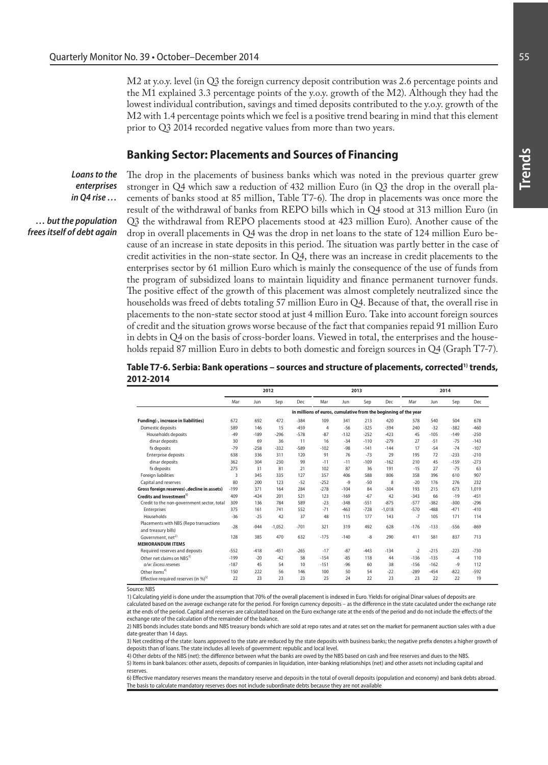M2 at y.o.y. level (in Q3 the foreign currency deposit contribution was 2.6 percentage points and the M1 explained 3.3 percentage points of the y.o.y. growth of the M2). Although they had the lowest individual contribution, savings and timed deposits contributed to the y.o.y. growth of the M2 with 1.4 percentage points which we feel is a positive trend bearing in mind that this element prior to Q3 2014 recorded negative values from more than two years.

# **Banking Sector: Placements and Sources of Financing**

*Loans to the enterprises in Q4 rise …*

*… but the population frees itself of debt again* The drop in the placements of business banks which was noted in the previous quarter grew stronger in Q4 which saw a reduction of 432 million Euro (in Q3 the drop in the overall placements of banks stood at 85 million, Table T7-6). The drop in placements was once more the result of the withdrawal of banks from REPO bills which in Q4 stood at 313 million Euro (in Q3 the withdrawal from REPO placements stood at 423 million Euro). Another cause of the drop in overall placements in Q4 was the drop in net loans to the state of 124 million Euro because of an increase in state deposits in this period. The situation was partly better in the case of credit activities in the non-state sector. In Q4, there was an increase in credit placements to the enterprises sector by 61 million Euro which is mainly the consequence of the use of funds from the program of subsidized loans to maintain liquidity and finance permanent turnover funds. The positive effect of the growth of this placement was almost completely neutralized since the households was freed of debts totaling 57 million Euro in Q4. Because of that, the overall rise in placements to the non-state sector stood at just 4 million Euro. Take into account foreign sources of credit and the situation grows worse because of the fact that companies repaid 91 million Euro in debts in Q4 on the basis of cross-border loans. Viewed in total, the enterprises and the households repaid 87 million Euro in debts to both domestic and foreign sources in Q4 (Graph T7-7).

### Table T7-6. Serbia: Bank operations – sources and structure of placements, corrected<sup>1)</sup> trends, **2012-2014**

|                                                               | 2012                                                            |        |          |        |                |        | 2013   |          | 2014   |        |         |        |  |
|---------------------------------------------------------------|-----------------------------------------------------------------|--------|----------|--------|----------------|--------|--------|----------|--------|--------|---------|--------|--|
|                                                               | Mar                                                             | Jun    | Sep      | Dec    | Mar            | Jun    | Sep    | Dec      | Mar    | Jun    | Sep     | Dec    |  |
|                                                               | in millions of euros, cumulative from the beginning of the year |        |          |        |                |        |        |          |        |        |         |        |  |
| Funding(-, increase in liabilities)                           | 672                                                             | 692    | 472      | $-384$ | 109            | 341    | 213    | 420      | 578    | 540    | 504     | 678    |  |
| Domestic deposits                                             | 589                                                             | 146    | 15       | $-459$ | $\overline{4}$ | $-56$  | $-325$ | $-394$   | 240    | $-32$  | $-382$  | $-460$ |  |
| Households deposits                                           | $-49$                                                           | $-189$ | $-296$   | $-578$ | $-87$          | $-132$ | $-252$ | $-423$   | 45     | $-105$ | $-149$  | $-250$ |  |
| dinar deposits                                                | 30                                                              | 69     | 36       | 11     | 16             | $-34$  | $-110$ | $-279$   | 27     | $-51$  | $-75$   | $-143$ |  |
| fx deposits                                                   | $-79$                                                           | $-258$ | $-332$   | $-589$ | $-102$         | $-98$  | $-141$ | $-144$   | 17     | $-54$  | $-74$   | $-107$ |  |
| Enterprise deposits                                           | 638                                                             | 336    | 311      | 120    | 91             | 76     | $-73$  | 29       | 195    | 72     | $-233$  | $-210$ |  |
| dinar deposits                                                | 362                                                             | 304    | 230      | 99     | $-11$          | $-11$  | $-109$ | $-162$   | 210    | 45     | $-1.59$ | $-273$ |  |
| fx deposits                                                   | 275                                                             | 31     | 81       | 21     | 102            | 87     | 36     | 191      | $-15$  | 27     | $-75$   | 63     |  |
| Foreign liabilities                                           | 3                                                               | 345    | 335      | 127    | 357            | 406    | 588    | 806      | 358    | 396    | 610     | 907    |  |
| Capital and reserves                                          | 80                                                              | 200    | 123      | $-52$  | $-252$         | $-9$   | $-50$  | 8        | $-20$  | 176    | 276     | 232    |  |
| Gross foreign reserves(-, decline in assets)                  | $-199$                                                          | 371    | 164      | 284    | $-278$         | $-104$ | 84     | $-304$   | 193    | 215    | 673     | 1.019  |  |
| Credits and Investment <sup>1)</sup>                          | 409                                                             | $-424$ | 201      | 521    | 123            | $-169$ | $-67$  | 42       | $-343$ | 66     | $-19$   | $-451$ |  |
| Credit to the non-government sector, total                    | 309                                                             | 136    | 784      | 589    | $-23$          | $-348$ | $-551$ | $-875$   | $-577$ | $-382$ | $-300$  | $-296$ |  |
| Enterprises                                                   | 375                                                             | 161    | 741      | 552    | $-71$          | $-463$ | $-728$ | $-1.018$ | $-570$ | $-488$ | $-471$  | $-410$ |  |
| Households                                                    | $-36$                                                           | $-25$  | 42       | 37     | 48             | 115    | 177    | 143      | $-7$   | 105    | 171     | 114    |  |
| Placements with NBS (Repo transactions<br>and treasury bills) | $-28$                                                           | $-944$ | $-1.052$ | $-701$ | 321            | 319    | 492    | 628      | $-176$ | $-133$ | $-556$  | $-869$ |  |
| Government, net <sup>2)</sup><br><b>MEMORANDUM ITEMS</b>      | 128                                                             | 385    | 470      | 632    | $-175$         | $-140$ | -8     | 290      | 411    | 581    | 837     | 713    |  |
| Required reserves and deposits                                | $-552$                                                          | $-418$ | $-451$   | $-265$ | $-17$          | $-87$  | $-443$ | $-134$   | $-2$   | $-215$ | $-223$  | $-730$ |  |
| Other net claims on NBS <sup>3)</sup>                         | $-199$                                                          | $-20$  | $-42$    | 58     | $-154$         | $-85$  | 118    | 44       | $-136$ | $-135$ | -4      | 110    |  |
| o/w: Excess reserves                                          | $-187$                                                          | 45     | 54       | 10     | $-151$         | $-96$  | 60     | 38       | $-156$ | $-162$ | -9      | 112    |  |
| Other items <sup>4)</sup>                                     | 150                                                             | 222    | 56       | 146    | 100            | 50     | 54     | $-22$    | $-289$ | $-454$ | $-822$  | $-592$ |  |
| Effective required reserves (in %) <sup>5)</sup>              | 22                                                              | 23     | 23       | 23     | 25             | 24     | 22     | 23       | 23     | 22     | 22      | 19     |  |

Source: NBS

1) Calculating yield is done under the assumption that 70% of the overall placement is indexed in Euro. Yields for original Dinar values of deposits are calculated based on the average exchange rate for the period. For foreign currency deposits – as the difference in the state caculated under the exchange rate at the ends of the period. Capital and reserves are calculated based on the Euro exchange rate at the ends of the period and do not include the effects of the exchange rate of the calculation of the remainder of the balance.

2) NBS bonds includes state bonds and NBS treasury bonds which are sold at repo rates and at rates set on the market for permanent auction sales with a due date greater than 14 days.

3) Net crediting of the state: loans approved to the state are reduced by the state deposits with business banks; the negative prefix denotes a higher growth of deposits than of loans. The state includes all levels of government: republic and local level.

4) Other debts of the NBS (net): the difference between what the banks are owed by the NBS based on cash and free reserves and dues to the NBS. 5) Items in bank balances: other assets, deposits of companies in liquidation, inter-banking relationships (net) and other assets not including capital and reserves.

6) Effective mandatory reserves means the mandatory reserve and deposits in the total of overall deposits (population and economy) and bank debts abroad. The basis to calculate mandatory reserves does not include subordinate debts because they are not available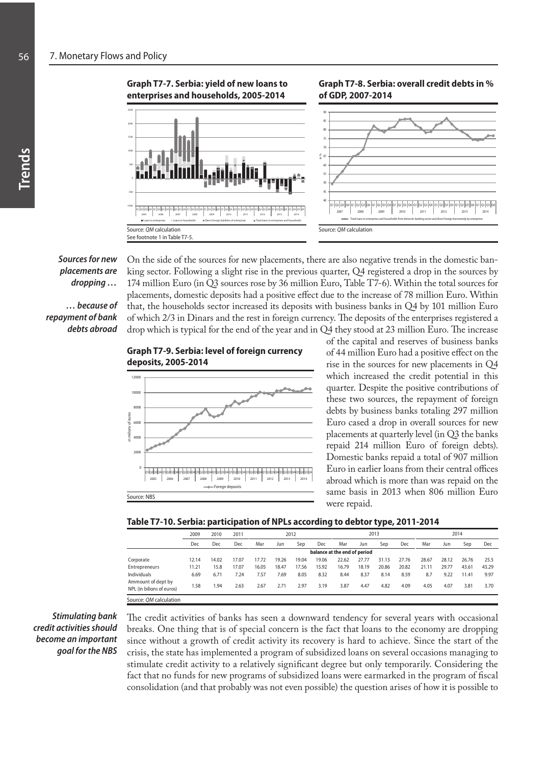**Graph T7-7. Serbia: yield of new loans to enterprises and households, 2005-2014**



#### **Graph T7-8. Serbia: overall credit debts in % of GDP, 2007-2014**



*Sources for new placements are dropping …*

*… because of repayment of bank debts abroad*

On the side of the sources for new placements, there are also negative trends in the domestic banking sector. Following a slight rise in the previous quarter, Q4 registered a drop in the sources by 174 million Euro (in Q3 sources rose by 36 million Euro, Table T7-6). Within the total sources for placements, domestic deposits had a positive effect due to the increase of 78 million Euro. Within that, the households sector increased its deposits with business banks in Q4 by 101 million Euro of which 2/3 in Dinars and the rest in foreign currency. The deposits of the enterprises registered a drop which is typical for the end of the year and in Q4 they stood at 23 million Euro. The increase

## **Graph T7-9. Serbia: level of foreign currency deposits, 2005-2014**



of the capital and reserves of business banks of 44 million Euro had a positive effect on the rise in the sources for new placements in Q4 which increased the credit potential in this quarter. Despite the positive contributions of these two sources, the repayment of foreign debts by business banks totaling 297 million Euro cased a drop in overall sources for new placements at quarterly level (in Q3 the banks repaid 214 million Euro of foreign debts). Domestic banks repaid a total of 907 million Euro in earlier loans from their central offices abroad which is more than was repaid on the same basis in 2013 when 806 million Euro were repaid.

|                           | 2009  | 2010  | 2011  | 2012  |       |                              |       |       |       | 2013  |       | 2014  |       |       |       |
|---------------------------|-------|-------|-------|-------|-------|------------------------------|-------|-------|-------|-------|-------|-------|-------|-------|-------|
|                           | Dec   | Dec   | Dec   | Mar   | Jun   | Sep                          | Dec   | Mar   | Jun   | Sep   | Dec   | Mar   | Jun   | Sep   | Dec   |
|                           |       |       |       |       |       | balance at the end of period |       |       |       |       |       |       |       |       |       |
| Corporate                 | 12.14 | 14.02 | 17.07 | 17.72 | 19.26 | 19.04                        | 19.06 | 22.62 | 27.77 | 31.13 | 27.76 | 28.67 | 28.12 | 26.76 | 25.5  |
| Entrepreneurs             | 11.21 | 15.8  | 17.07 | 16.05 | 18.47 | 17.56                        | 15.92 | 16.79 | 18.19 | 20.86 | 20.82 | 21.11 | 29.77 | 43.61 | 43.29 |
| Individuals               | 6.69  | 6.71  | 7.24  | 7.57  | 7.69  | 8.05                         | 8.32  | 8.44  | 8.37  | 8.14  | 8.59  | 8.7   | 9.22  | 11.41 | 9.97  |
| Ammount of dept by        |       |       |       |       |       |                              |       |       |       |       |       |       |       |       |       |
| NPL (in bilions of euros) | 1.58  | 1.94  | 2.63  | 2.67  | 2.71  | 2.97                         | 3.19  | 3.87  | 4.47  | 4.82  | 4.09  | 4.05  | 4.07  | 3.81  | 3.70  |
| Source: OM calculation    |       |       |       |       |       |                              |       |       |       |       |       |       |       |       |       |

*Stimulating bank credit activities should become an important goal for the NBS* 

The credit activities of banks has seen a downward tendency for several years with occasional breaks. One thing that is of special concern is the fact that loans to the economy are dropping since without a growth of credit activity its recovery is hard to achieve. Since the start of the crisis, the state has implemented a program of subsidized loans on several occasions managing to stimulate credit activity to a relatively significant degree but only temporarily. Considering the fact that no funds for new programs of subsidized loans were earmarked in the program of fiscal consolidation (and that probably was not even possible) the question arises of how it is possible to

**Trends**